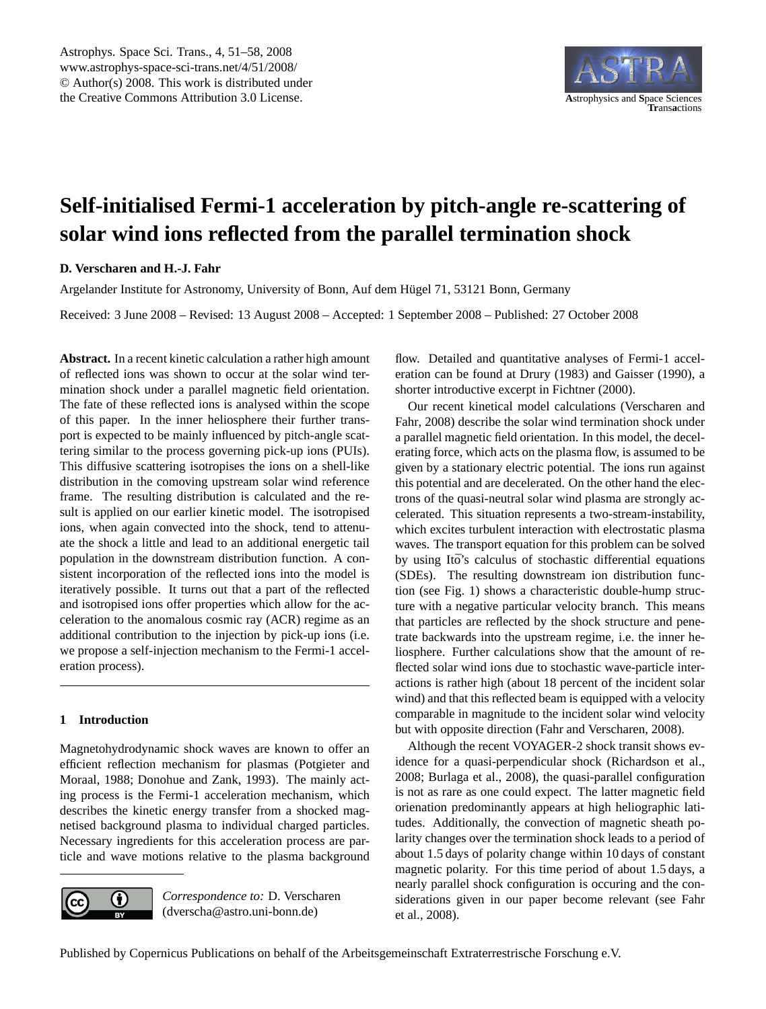

# <span id="page-0-0"></span>**Self-initialised Fermi-1 acceleration by pitch-angle re-scattering of solar wind ions reflected from the parallel termination shock**

# **D. Verscharen and H.-J. Fahr**

Argelander Institute for Astronomy, University of Bonn, Auf dem Hugel 71, 53121 Bonn, Germany ¨

Received: 3 June 2008 – Revised: 13 August 2008 – Accepted: 1 September 2008 – Published: 27 October 2008

**Abstract.** In a recent kinetic calculation a rather high amount of reflected ions was shown to occur at the solar wind termination shock under a parallel magnetic field orientation. The fate of these reflected ions is analysed within the scope of this paper. In the inner heliosphere their further transport is expected to be mainly influenced by pitch-angle scattering similar to the process governing pick-up ions (PUIs). This diffusive scattering isotropises the ions on a shell-like distribution in the comoving upstream solar wind reference frame. The resulting distribution is calculated and the result is applied on our earlier kinetic model. The isotropised ions, when again convected into the shock, tend to attenuate the shock a little and lead to an additional energetic tail population in the downstream distribution function. A consistent incorporation of the reflected ions into the model is iteratively possible. It turns out that a part of the reflected and isotropised ions offer properties which allow for the acceleration to the anomalous cosmic ray (ACR) regime as an additional contribution to the injection by pick-up ions (i.e. we propose a self-injection mechanism to the Fermi-1 acceleration process).

## **1 Introduction**

Magnetohydrodynamic shock waves are known to offer an efficient reflection mechanism for plasmas [\(Potgieter and](#page-7-0) [Moraal,](#page-7-0) [1988;](#page-7-0) [Donohue and Zank,](#page-6-0) [1993\)](#page-6-0). The mainly acting process is the Fermi-1 acceleration mechanism, which describes the kinetic energy transfer from a shocked magnetised background plasma to individual charged particles. Necessary ingredients for this acceleration process are particle and wave motions relative to the plasma background



*Correspondence to:* D. Verscharen (dverscha@astro.uni-bonn.de)

flow. Detailed and quantitative analyses of Fermi-1 acceleration can be found at [Drury](#page-6-1) [\(1983\)](#page-6-1) and [Gaisser](#page-6-2) [\(1990\)](#page-6-2), a shorter introductive excerpt in [Fichtner](#page-6-3) [\(2000\)](#page-6-3).

Our recent kinetical model calculations [\(Verscharen and](#page-7-1) [Fahr,](#page-7-1) [2008\)](#page-7-1) describe the solar wind termination shock under a parallel magnetic field orientation. In this model, the decelerating force, which acts on the plasma flow, is assumed to be given by a stationary electric potential. The ions run against this potential and are decelerated. On the other hand the electrons of the quasi-neutral solar wind plasma are strongly accelerated. This situation represents a two-stream-instability, which excites turbulent interaction with electrostatic plasma waves. The transport equation for this problem can be solved by using Itō's calculus of stochastic differential equations (SDEs). The resulting downstream ion distribution function (see Fig. [1\)](#page-1-0) shows a characteristic double-hump structure with a negative particular velocity branch. This means that particles are reflected by the shock structure and penetrate backwards into the upstream regime, i.e. the inner heliosphere. Further calculations show that the amount of reflected solar wind ions due to stochastic wave-particle interactions is rather high (about 18 percent of the incident solar wind) and that this reflected beam is equipped with a velocity comparable in magnitude to the incident solar wind velocity but with opposite direction [\(Fahr and Verscharen,](#page-6-4) [2008\)](#page-6-4).

Although the recent VOYAGER-2 shock transit shows evidence for a quasi-perpendicular shock [\(Richardson et al.,](#page-7-2) [2008;](#page-7-2) [Burlaga et al.,](#page-6-5) [2008\)](#page-6-5), the quasi-parallel configuration is not as rare as one could expect. The latter magnetic field orienation predominantly appears at high heliographic latitudes. Additionally, the convection of magnetic sheath polarity changes over the termination shock leads to a period of about 1.5 days of polarity change within 10 days of constant magnetic polarity. For this time period of about 1.5 days, a nearly parallel shock configuration is occuring and the considerations given in our paper become relevant (see [Fahr](#page-6-6) [et al.,](#page-6-6) [2008\)](#page-6-6).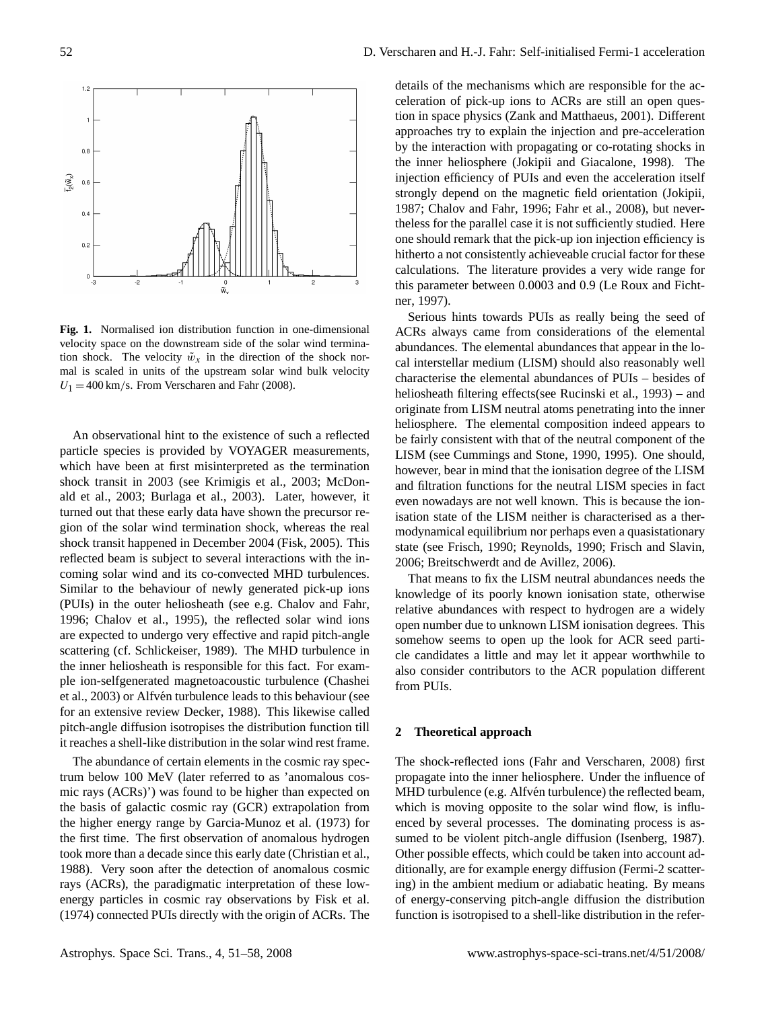

<span id="page-1-0"></span>**Fig. 1.** Normalised ion distribution function in one-dimensional velocity space on the downstream side of the solar wind termination shock. The velocity  $\tilde{w}_x$  in the direction of the shock normal is scaled in units of the upstream solar wind bulk velocity  $U_1 = 400$  km/s. From [Verscharen and Fahr](#page-7-1) [\(2008\)](#page-7-1).

An observational hint to the existence of such a reflected particle species is provided by VOYAGER measurements, which have been at first misinterpreted as the termination shock transit in 2003 (see [Krimigis et al.,](#page-6-7) [2003;](#page-6-7) [McDon](#page-7-3)[ald et al.,](#page-7-3) [2003;](#page-7-3) [Burlaga et al.,](#page-6-8) [2003\)](#page-6-8). Later, however, it turned out that these early data have shown the precursor region of the solar wind termination shock, whereas the real shock transit happened in December 2004 [\(Fisk,](#page-6-9) [2005\)](#page-6-9). This reflected beam is subject to several interactions with the incoming solar wind and its co-convected MHD turbulences. Similar to the behaviour of newly generated pick-up ions (PUIs) in the outer heliosheath (see e.g. [Chalov and Fahr,](#page-6-10) [1996;](#page-6-10) [Chalov et al.,](#page-6-11) [1995\)](#page-6-11), the reflected solar wind ions are expected to undergo very effective and rapid pitch-angle scattering (cf. [Schlickeiser,](#page-7-4) [1989\)](#page-7-4). The MHD turbulence in the inner heliosheath is responsible for this fact. For example ion-selfgenerated magnetoacoustic turbulence [\(Chashei](#page-6-12) [et al.,](#page-6-12) [2003\)](#page-6-12) or Alfvén turbulence leads to this behaviour (see for an extensive review [Decker,](#page-6-13) [1988\)](#page-6-13). This likewise called pitch-angle diffusion isotropises the distribution function till it reaches a shell-like distribution in the solar wind rest frame.

The abundance of certain elements in the cosmic ray spectrum below 100 MeV (later referred to as 'anomalous cosmic rays (ACRs)') was found to be higher than expected on the basis of galactic cosmic ray (GCR) extrapolation from the higher energy range by [Garcia-Munoz et al.](#page-6-14) [\(1973\)](#page-6-14) for the first time. The first observation of anomalous hydrogen took more than a decade since this early date [\(Christian et al.,](#page-6-15) [1988\)](#page-6-15). Very soon after the detection of anomalous cosmic rays (ACRs), the paradigmatic interpretation of these lowenergy particles in cosmic ray observations by [Fisk et al.](#page-6-16) [\(1974\)](#page-6-16) connected PUIs directly with the origin of ACRs. The details of the mechanisms which are responsible for the acceleration of pick-up ions to ACRs are still an open question in space physics [\(Zank and Matthaeus,](#page-7-5) [2001\)](#page-7-5). Different approaches try to explain the injection and pre-acceleration by the interaction with propagating or co-rotating shocks in the inner heliosphere [\(Jokipii and Giacalone,](#page-6-17) [1998\)](#page-6-17). The injection efficiency of PUIs and even the acceleration itself strongly depend on the magnetic field orientation [\(Jokipii,](#page-6-18) [1987;](#page-6-18) [Chalov and Fahr,](#page-6-10) [1996;](#page-6-10) [Fahr et al.,](#page-6-6) [2008\)](#page-6-6), but nevertheless for the parallel case it is not sufficiently studied. Here one should remark that the pick-up ion injection efficiency is hitherto a not consistently achieveable crucial factor for these calculations. The literature provides a very wide range for this parameter between 0.0003 and 0.9 [\(Le Roux and Ficht](#page-7-6)[ner,](#page-7-6) [1997\)](#page-7-6).

Serious hints towards PUIs as really being the seed of ACRs always came from considerations of the elemental abundances. The elemental abundances that appear in the local interstellar medium (LISM) should also reasonably well characterise the elemental abundances of PUIs – besides of heliosheath filtering effects(see [Rucinski et al.,](#page-7-7) [1993\)](#page-7-7) – and originate from LISM neutral atoms penetrating into the inner heliosphere. The elemental composition indeed appears to be fairly consistent with that of the neutral component of the LISM (see [Cummings and Stone,](#page-6-19) [1990,](#page-6-19) [1995\)](#page-6-20). One should, however, bear in mind that the ionisation degree of the LISM and filtration functions for the neutral LISM species in fact even nowadays are not well known. This is because the ionisation state of the LISM neither is characterised as a thermodynamical equilibrium nor perhaps even a quasistationary state (see [Frisch,](#page-6-21) [1990;](#page-6-21) [Reynolds,](#page-7-8) [1990;](#page-7-8) [Frisch and Slavin,](#page-6-22) [2006;](#page-6-22) [Breitschwerdt and de Avillez,](#page-6-23) [2006\)](#page-6-23).

That means to fix the LISM neutral abundances needs the knowledge of its poorly known ionisation state, otherwise relative abundances with respect to hydrogen are a widely open number due to unknown LISM ionisation degrees. This somehow seems to open up the look for ACR seed particle candidates a little and may let it appear worthwhile to also consider contributors to the ACR population different from PUIs.

#### **2 Theoretical approach**

The shock-reflected ions [\(Fahr and Verscharen,](#page-6-4) [2008\)](#page-6-4) first propagate into the inner heliosphere. Under the influence of MHD turbulence (e.g. Alfvén turbulence) the reflected beam, which is moving opposite to the solar wind flow, is influenced by several processes. The dominating process is assumed to be violent pitch-angle diffusion [\(Isenberg,](#page-6-24) [1987\)](#page-6-24). Other possible effects, which could be taken into account additionally, are for example energy diffusion (Fermi-2 scattering) in the ambient medium or adiabatic heating. By means of energy-conserving pitch-angle diffusion the distribution function is isotropised to a shell-like distribution in the refer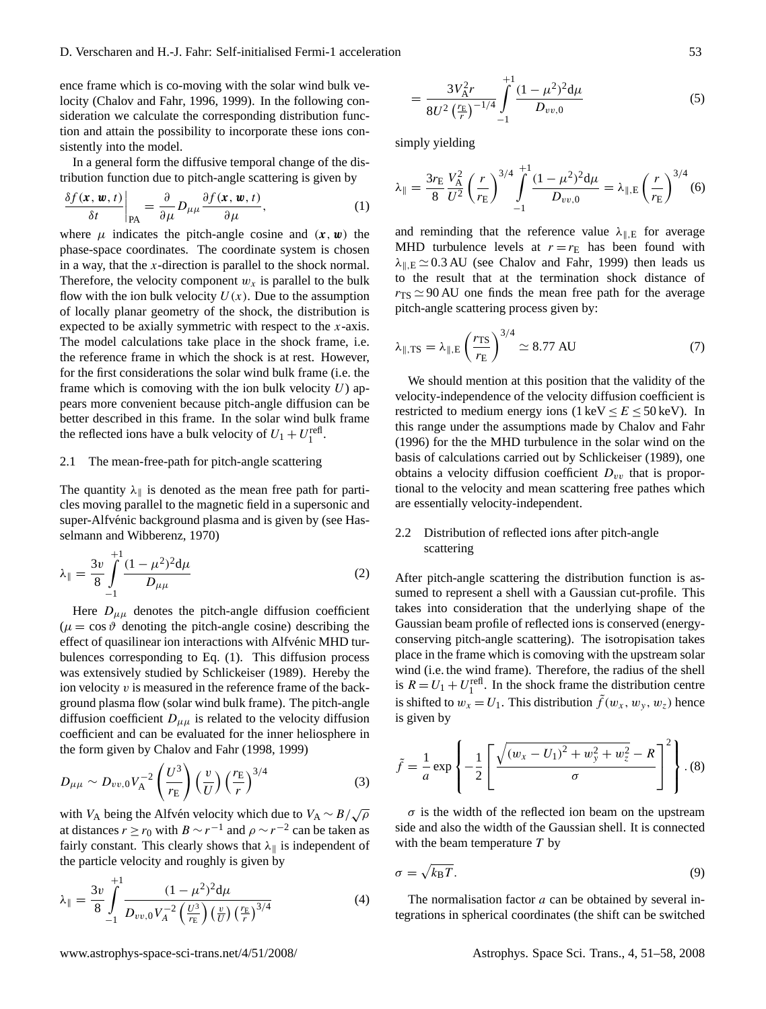ence frame which is co-moving with the solar wind bulk velocity [\(Chalov and Fahr,](#page-6-10) [1996,](#page-6-10) [1999\)](#page-6-25). In the following consideration we calculate the corresponding distribution function and attain the possibility to incorporate these ions consistently into the model.

In a general form the diffusive temporal change of the distribution function due to pitch-angle scattering is given by

<span id="page-2-0"></span>
$$
\frac{\delta f(\mathbf{x}, \mathbf{w}, t)}{\delta t}\bigg|_{\text{PA}} = \frac{\partial}{\partial \mu} D_{\mu \mu} \frac{\partial f(\mathbf{x}, \mathbf{w}, t)}{\partial \mu}, \tag{1}
$$

where  $\mu$  indicates the pitch-angle cosine and  $(x, w)$  the phase-space coordinates. The coordinate system is chosen in a way, that the  $x$ -direction is parallel to the shock normal. Therefore, the velocity component  $w_x$  is parallel to the bulk flow with the ion bulk velocity  $U(x)$ . Due to the assumption of locally planar geometry of the shock, the distribution is expected to be axially symmetric with respect to the  $x$ -axis. The model calculations take place in the shock frame, i.e. the reference frame in which the shock is at rest. However, for the first considerations the solar wind bulk frame (i.e. the frame which is comoving with the ion bulk velocity  $U$ ) appears more convenient because pitch-angle diffusion can be better described in this frame. In the solar wind bulk frame the reflected ions have a bulk velocity of  $U_1 + U_1^{\text{refl}}$ .

#### 2.1 The mean-free-path for pitch-angle scattering

The quantity  $\lambda_{\parallel}$  is denoted as the mean free path for particles moving parallel to the magnetic field in a supersonic and super-Alfvénic background plasma and is given by (see [Has](#page-6-26)[selmann and Wibberenz,](#page-6-26) [1970\)](#page-6-26)

$$
\lambda_{\parallel} = \frac{3v}{8} \int_{-1}^{+1} \frac{(1 - \mu^2)^2 d\mu}{D_{\mu\mu}} \tag{2}
$$

Here  $D_{\mu\mu}$  denotes the pitch-angle diffusion coefficient  $(\mu = \cos \vartheta)$  denoting the pitch-angle cosine) describing the effect of quasilinear ion interactions with Alfvénic MHD turbulences corresponding to Eq. [\(1\)](#page-2-0). This diffusion process was extensively studied by [Schlickeiser](#page-7-4) [\(1989\)](#page-7-4). Hereby the ion velocity  $v$  is measured in the reference frame of the background plasma flow (solar wind bulk frame). The pitch-angle diffusion coefficient  $D_{\mu\mu}$  is related to the velocity diffusion coefficient and can be evaluated for the inner heliosphere in the form given by [Chalov and Fahr](#page-6-27) [\(1998,](#page-6-27) [1999\)](#page-6-25)

$$
D_{\mu\mu} \sim D_{\nu\nu,0} V_A^{-2} \left(\frac{U^3}{r_{\rm E}}\right) \left(\frac{v}{U}\right) \left(\frac{r_{\rm E}}{r}\right)^{3/4} \tag{3}
$$

with  $V_A$  being the Alfvén velocity which due to  $V_A \sim B/\sqrt{\rho}$ at distances  $r \ge r_0$  with  $B \sim r^{-1}$  and  $\rho \sim r^{-2}$  can be taken as fairly constant. This clearly shows that  $\lambda_{\parallel}$  is independent of the particle velocity and roughly is given by

$$
\lambda_{\parallel} = \frac{3v}{8} \int_{-1}^{+1} \frac{(1 - \mu^2)^2 d\mu}{D_{vv,0} V_A^{-2} \left(\frac{U^3}{r_E}\right) \left(\frac{v}{U}\right) \left(\frac{r_E}{r}\right)^{3/4}} \tag{4}
$$

$$
=\frac{3V_{\rm A}^2r}{8U^2\left(\frac{r_{\rm E}}{r}\right)^{-1/4}}\int\limits_{-1}^{+1}\frac{(1-\mu^2)^2{\rm d}\mu}{D_{vv,0}}\tag{5}
$$

simply yielding

$$
\lambda_{\parallel} = \frac{3r_{\rm E}}{8} \frac{V_{\rm A}^2}{U^2} \left(\frac{r}{r_{\rm E}}\right)^{3/4} \int_{-1}^{+1} \frac{(1-\mu^2)^2 d\mu}{D_{vv,0}} = \lambda_{\parallel, \rm E} \left(\frac{r}{r_{\rm E}}\right)^{3/4} (6)
$$

and reminding that the reference value  $\lambda_{\parallel,E}$  for average MHD turbulence levels at  $r = r_E$  has been found with  $\lambda_{\parallel,E} \simeq 0.3 \text{ AU}$  (see [Chalov and Fahr,](#page-6-25) [1999\)](#page-6-25) then leads us to the result that at the termination shock distance of  $r_{\rm TS} \simeq 90 \, \rm AU$  one finds the mean free path for the average pitch-angle scattering process given by:

$$
\lambda_{\parallel, \text{TS}} = \lambda_{\parallel, \text{E}} \left( \frac{r_{\text{TS}}}{r_{\text{E}}} \right)^{3/4} \simeq 8.77 \text{ AU}
$$
 (7)

We should mention at this position that the validity of the velocity-independence of the velocity diffusion coefficient is restricted to medium energy ions (1 keV  $\le E \le 50$  keV). In this range under the assumptions made by [Chalov and Fahr](#page-6-10) [\(1996\)](#page-6-10) for the the MHD turbulence in the solar wind on the basis of calculations carried out by [Schlickeiser](#page-7-4) [\(1989\)](#page-7-4), one obtains a velocity diffusion coefficient  $D_{vv}$  that is proportional to the velocity and mean scattering free pathes which are essentially velocity-independent.

# 2.2 Distribution of reflected ions after pitch-angle scattering

After pitch-angle scattering the distribution function is assumed to represent a shell with a Gaussian cut-profile. This takes into consideration that the underlying shape of the Gaussian beam profile of reflected ions is conserved (energyconserving pitch-angle scattering). The isotropisation takes place in the frame which is comoving with the upstream solar wind (i.e. the wind frame). Therefore, the radius of the shell is  $R = U_1 + U_1^{\text{refl}}$ . In the shock frame the distribution centre is shifted to  $w_x = U_1$ . This distribution  $\tilde{f}(w_x, w_y, w_z)$  hence is given by

<span id="page-2-1"></span>
$$
\tilde{f} = \frac{1}{a} \exp \left\{ -\frac{1}{2} \left[ \frac{\sqrt{(w_x - U_1)^2 + w_y^2 + w_z^2} - R}{\sigma} \right]^2 \right\} . (8)
$$

 $\sigma$  is the width of the reflected ion beam on the upstream side and also the width of the Gaussian shell. It is connected with the beam temperature  $T$  by

$$
\sigma = \sqrt{k_{\rm B}T}.\tag{9}
$$

The normalisation factor  $a$  can be obtained by several integrations in spherical coordinates (the shift can be switched

 $+1$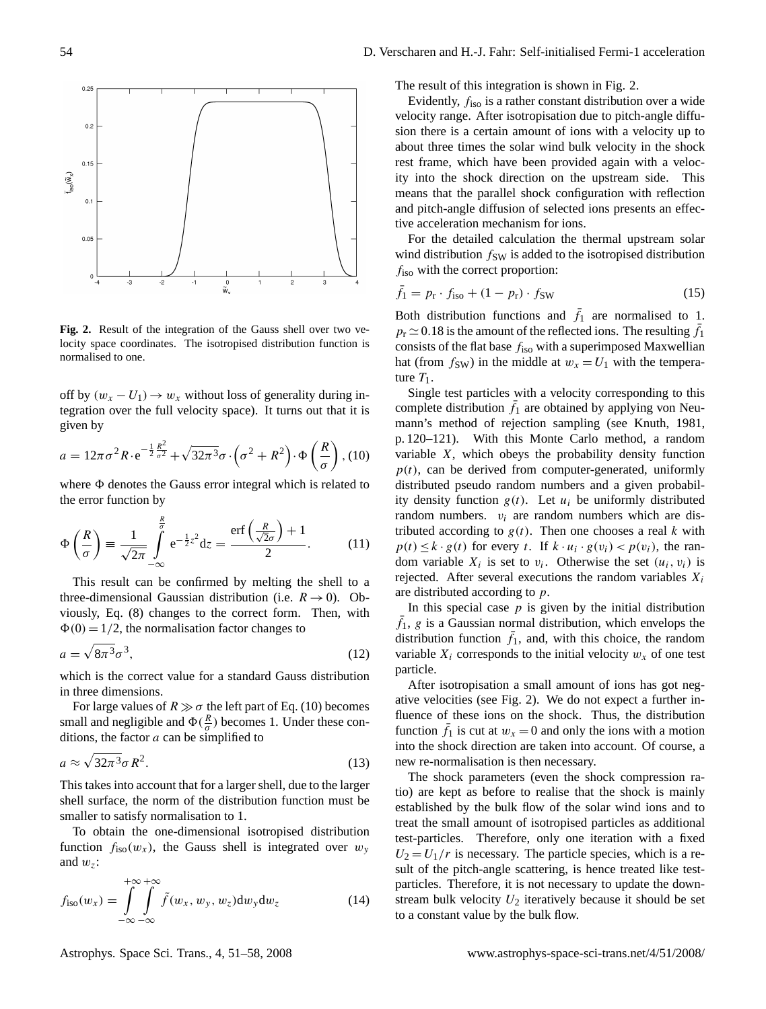

<span id="page-3-1"></span>**Fig. 2.** Result of the integration of the Gauss shell over two velocity space coordinates. The isotropised distribution function is normalised to one.

off by  $(w_x - U_1) \rightarrow w_x$  without loss of generality during integration over the full velocity space). It turns out that it is given by

<span id="page-3-0"></span>
$$
a = 12\pi\sigma^2 R \cdot e^{-\frac{1}{2}\frac{R^2}{\sigma^2}} + \sqrt{32\pi^3}\sigma \cdot (\sigma^2 + R^2) \cdot \Phi\left(\frac{R}{\sigma}\right), (10)
$$

where  $\Phi$  denotes the Gauss error integral which is related to the error function by

$$
\Phi\left(\frac{R}{\sigma}\right) \equiv \frac{1}{\sqrt{2\pi}} \int_{-\infty}^{\frac{R}{\sigma}} e^{-\frac{1}{2}z^2} dz = \frac{\text{erf}\left(\frac{R}{\sqrt{2\sigma}}\right) + 1}{2}.
$$
 (11)

This result can be confirmed by melting the shell to a three-dimensional Gaussian distribution (i.e.  $R \rightarrow 0$ ). Obviously, Eq. [\(8\)](#page-2-1) changes to the correct form. Then, with  $\Phi(0) = 1/2$ , the normalisation factor changes to

$$
a = \sqrt{8\pi^3}\sigma^3,\tag{12}
$$

which is the correct value for a standard Gauss distribution in three dimensions.

For large values of  $R \gg \sigma$  the left part of Eq. [\(10\)](#page-3-0) becomes small and negligible and  $\Phi(\frac{R}{\sigma})$  becomes 1. Under these conditions, the factor  $a$  can be simplified to

$$
a \approx \sqrt{32\pi^3} \sigma R^2. \tag{13}
$$

This takes into account that for a larger shell, due to the larger shell surface, the norm of the distribution function must be smaller to satisfy normalisation to 1.

To obtain the one-dimensional isotropised distribution function  $f_{iso}(w_x)$ , the Gauss shell is integrated over  $w_y$ and  $w_z$ :

$$
f_{\rm iso}(w_x) = \int_{-\infty}^{+\infty} \int_{-\infty}^{+\infty} \tilde{f}(w_x, w_y, w_z) dw_y dw_z \tag{14}
$$

Astrophys. Space Sci. Trans., 4, 51[–58,](#page-0-0) 2008 www.astrophys-space-sci-trans.net/4/51/2008/

The result of this integration is shown in Fig. [2.](#page-3-1)

Evidently,  $f_{\text{iso}}$  is a rather constant distribution over a wide velocity range. After isotropisation due to pitch-angle diffusion there is a certain amount of ions with a velocity up to about three times the solar wind bulk velocity in the shock rest frame, which have been provided again with a velocity into the shock direction on the upstream side. This means that the parallel shock configuration with reflection and pitch-angle diffusion of selected ions presents an effective acceleration mechanism for ions.

For the detailed calculation the thermal upstream solar wind distribution  $f_{SW}$  is added to the isotropised distribution  $f<sub>iso</sub>$  with the correct proportion:

$$
\bar{f}_1 = p_\text{r} \cdot f_\text{iso} + (1 - p_\text{r}) \cdot f_\text{SW} \tag{15}
$$

Both distribution functions and  $\bar{f}_1$  are normalised to 1.  $p_r \approx 0.18$  is the amount of the reflected ions. The resulting  $\bar{f}_1$ consists of the flat base  $f_{\text{iso}}$  with a superimposed Maxwellian hat (from  $f_{SW}$ ) in the middle at  $w_x = U_1$  with the temperature  $T_1$ .

Single test particles with a velocity corresponding to this complete distribution  $\bar{f}_1$  are obtained by applying von Neumann's method of rejection sampling (see [Knuth,](#page-6-28) [1981,](#page-6-28) p. 120–121). With this Monte Carlo method, a random variable X, which obeys the probability density function  $p(t)$ , can be derived from computer-generated, uniformly distributed pseudo random numbers and a given probability density function  $g(t)$ . Let  $u_i$  be uniformly distributed random numbers.  $v_i$  are random numbers which are distributed according to  $g(t)$ . Then one chooses a real k with  $p(t) \leq k \cdot g(t)$  for every t. If  $k \cdot u_i \cdot g(v_i) < p(v_i)$ , the random variable  $X_i$  is set to  $v_i$ . Otherwise the set  $(u_i, v_i)$  is rejected. After several executions the random variables  $X_i$ are distributed according to p.

In this special case  $p$  is given by the initial distribution  $\bar{f}_1$ , g is a Gaussian normal distribution, which envelops the distribution function  $\bar{f}_1$ , and, with this choice, the random variable  $X_i$  corresponds to the initial velocity  $w_x$  of one test particle.

After isotropisation a small amount of ions has got negative velocities (see Fig. [2\)](#page-3-1). We do not expect a further influence of these ions on the shock. Thus, the distribution function  $\bar{f}_1$  is cut at  $w_x = 0$  and only the ions with a motion into the shock direction are taken into account. Of course, a new re-normalisation is then necessary.

The shock parameters (even the shock compression ratio) are kept as before to realise that the shock is mainly established by the bulk flow of the solar wind ions and to treat the small amount of isotropised particles as additional test-particles. Therefore, only one iteration with a fixed  $U_2 = U_1/r$  is necessary. The particle species, which is a result of the pitch-angle scattering, is hence treated like testparticles. Therefore, it is not necessary to update the downstream bulk velocity  $U_2$  iteratively because it should be set to a constant value by the bulk flow.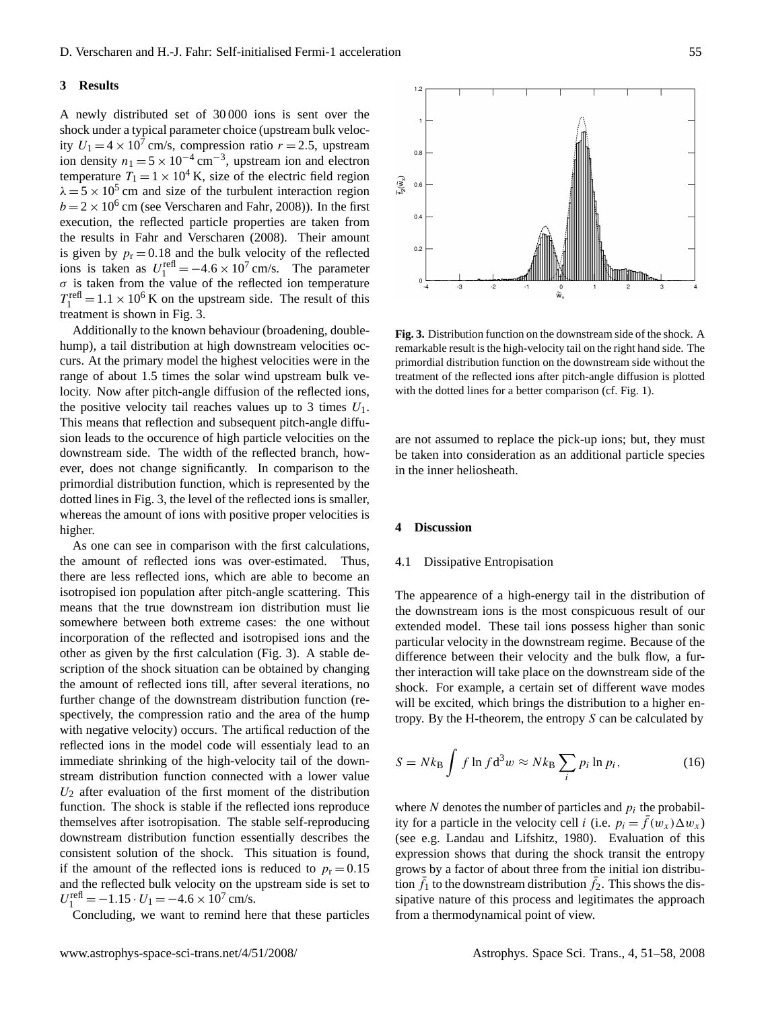### **3 Results**

A newly distributed set of 30 000 ions is sent over the shock under a typical parameter choice (upstream bulk velocity  $U_1 = 4 \times 10^7$  cm/s, compression ratio  $r = 2.5$ , upstream ion density  $n_1 = 5 \times 10^{-4}$  cm<sup>-3</sup>, upstream ion and electron temperature  $T_1 = 1 \times 10^4$  K, size of the electric field region  $\lambda = 5 \times 10^5$  cm and size of the turbulent interaction region  $b = 2 \times 10^6$  cm (see [Verscharen and Fahr,](#page-7-1) [2008\)](#page-7-1)). In the first execution, the reflected particle properties are taken from the results in [Fahr and Verscharen](#page-6-4) [\(2008\)](#page-6-4). Their amount is given by  $p_r = 0.18$  and the bulk velocity of the reflected ions is taken as  $U_1^{\text{refl}} = -4.6 \times 10^7 \text{ cm/s}$ . The parameter  $\sigma$  is taken from the value of the reflected ion temperature  $T_1^{\text{refl}} = 1.1 \times 10^6 \text{ K}$  on the upstream side. The result of this treatment is shown in Fig. [3.](#page-4-0)

Additionally to the known behaviour (broadening, doublehump), a tail distribution at high downstream velocities occurs. At the primary model the highest velocities were in the range of about 1.5 times the solar wind upstream bulk velocity. Now after pitch-angle diffusion of the reflected ions, the positive velocity tail reaches values up to 3 times  $U_1$ . This means that reflection and subsequent pitch-angle diffusion leads to the occurence of high particle velocities on the downstream side. The width of the reflected branch, however, does not change significantly. In comparison to the primordial distribution function, which is represented by the dotted lines in Fig. [3,](#page-4-0) the level of the reflected ions is smaller, whereas the amount of ions with positive proper velocities is higher.

As one can see in comparison with the first calculations, the amount of reflected ions was over-estimated. Thus, there are less reflected ions, which are able to become an isotropised ion population after pitch-angle scattering. This means that the true downstream ion distribution must lie somewhere between both extreme cases: the one without incorporation of the reflected and isotropised ions and the other as given by the first calculation (Fig. [3\)](#page-4-0). A stable description of the shock situation can be obtained by changing the amount of reflected ions till, after several iterations, no further change of the downstream distribution function (respectively, the compression ratio and the area of the hump with negative velocity) occurs. The artifical reduction of the reflected ions in the model code will essentialy lead to an immediate shrinking of the high-velocity tail of the downstream distribution function connected with a lower value  $U_2$  after evaluation of the first moment of the distribution function. The shock is stable if the reflected ions reproduce themselves after isotropisation. The stable self-reproducing downstream distribution function essentially describes the consistent solution of the shock. This situation is found, if the amount of the reflected ions is reduced to  $p_r = 0.15$ and the reflected bulk velocity on the upstream side is set to  $U_1^{\text{refl}} = -1.15 \cdot U_1 = -4.6 \times 10^7 \text{ cm/s}.$ 

Concluding, we want to remind here that these particles

 $1.2$  $0.8$  $\widetilde{\mathfrak{K}}$  $0.4$  $0.2$  $\mathsf{o}\,$ 

<span id="page-4-0"></span>**Fig. 3.** Distribution function on the downstream side of the shock. A remarkable result is the high-velocity tail on the right hand side. The primordial distribution function on the downstream side without the treatment of the reflected ions after pitch-angle diffusion is plotted with the dotted lines for a better comparison (cf. Fig. [1\)](#page-1-0).

are not assumed to replace the pick-up ions; but, they must be taken into consideration as an additional particle species in the inner heliosheath.

### **4 Discussion**

#### 4.1 Dissipative Entropisation

The appearence of a high-energy tail in the distribution of the downstream ions is the most conspicuous result of our extended model. These tail ions possess higher than sonic particular velocity in the downstream regime. Because of the difference between their velocity and the bulk flow, a further interaction will take place on the downstream side of the shock. For example, a certain set of different wave modes will be excited, which brings the distribution to a higher entropy. By the H-theorem, the entropy S can be calculated by

$$
S = Nk_{\rm B} \int f \ln f \mathrm{d}^3 w \approx Nk_{\rm B} \sum_{i} p_i \ln p_i, \qquad (16)
$$

where  $N$  denotes the number of particles and  $p_i$  the probability for a particle in the velocity cell *i* (i.e.  $p_i = \bar{f}(w_x) \Delta w_x$ ) (see e.g. [Landau and Lifshitz,](#page-7-9) [1980\)](#page-7-9). Evaluation of this expression shows that during the shock transit the entropy grows by a factor of about three from the initial ion distribution  $\bar{f}_1$  to the downstream distribution  $\bar{f}_2$ . This shows the dissipative nature of this process and legitimates the approach from a thermodynamical point of view.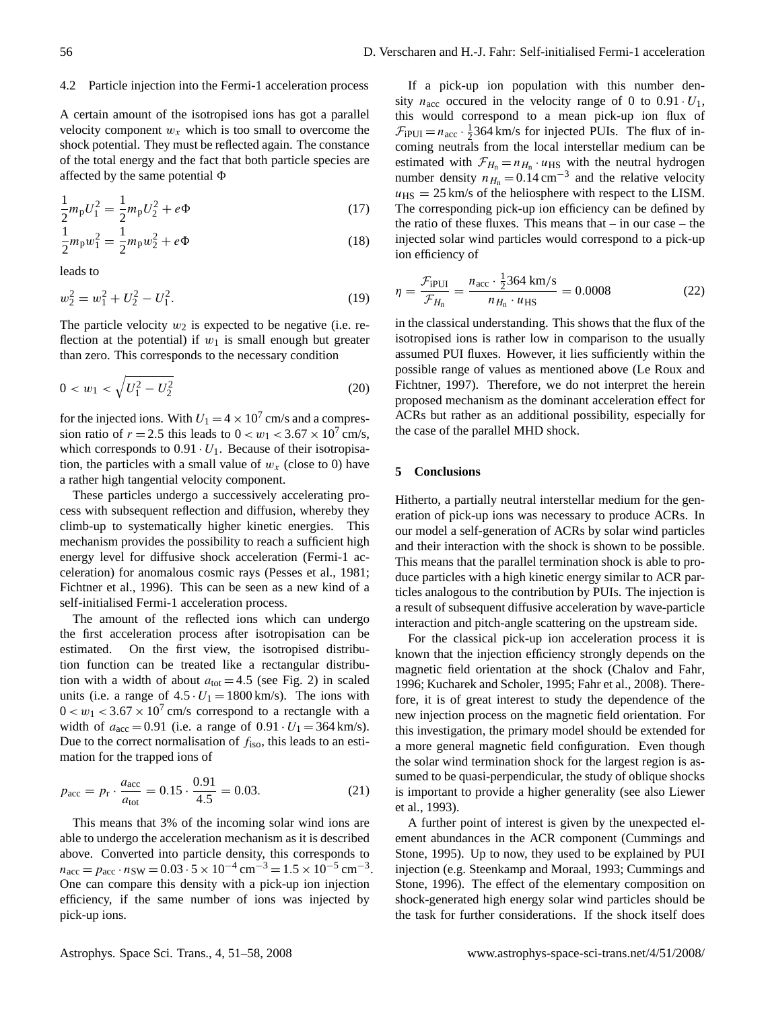#### 4.2 Particle injection into the Fermi-1 acceleration process

A certain amount of the isotropised ions has got a parallel velocity component  $w_x$  which is too small to overcome the shock potential. They must be reflected again. The constance of the total energy and the fact that both particle species are affected by the same potential  $\Phi$ 

$$
\frac{1}{2}m_{\rm p}U_1^2 = \frac{1}{2}m_{\rm p}U_2^2 + e\Phi\tag{17}
$$

$$
\frac{1}{2}m_{\rm p}w_1^2 = \frac{1}{2}m_{\rm p}w_2^2 + e\Phi\tag{18}
$$

leads to

$$
w_2^2 = w_1^2 + U_2^2 - U_1^2.
$$
 (19)

The particle velocity  $w_2$  is expected to be negative (i.e. reflection at the potential) if  $w_1$  is small enough but greater than zero. This corresponds to the necessary condition

$$
0 < w_1 < \sqrt{U_1^2 - U_2^2} \tag{20}
$$

for the injected ions. With  $U_1 = 4 \times 10^7$  cm/s and a compression ratio of  $r = 2.5$  this leads to  $0 < w_1 < 3.67 \times 10^7$  cm/s, which corresponds to  $0.91 \cdot U_1$ . Because of their isotropisation, the particles with a small value of  $w_r$  (close to 0) have a rather high tangential velocity component.

These particles undergo a successively accelerating process with subsequent reflection and diffusion, whereby they climb-up to systematically higher kinetic energies. This mechanism provides the possibility to reach a sufficient high energy level for diffusive shock acceleration (Fermi-1 acceleration) for anomalous cosmic rays [\(Pesses et al.,](#page-7-10) [1981;](#page-7-10) [Fichtner et al.,](#page-6-29) [1996\)](#page-6-29). This can be seen as a new kind of a self-initialised Fermi-1 acceleration process.

The amount of the reflected ions which can undergo the first acceleration process after isotropisation can be estimated. On the first view, the isotropised distribution function can be treated like a rectangular distribution with a width of about  $a_{tot} = 4.5$  (see Fig. [2\)](#page-3-1) in scaled units (i.e. a range of  $4.5 \cdot U_1 = 1800 \text{ km/s}$ ). The ions with  $0 < w_1 < 3.67 \times 10^7$  cm/s correspond to a rectangle with a width of  $a_{\text{acc}} = 0.91$  (i.e. a range of  $0.91 \cdot U_1 = 364 \text{ km/s}$ ). Due to the correct normalisation of  $f_{\text{iso}}$ , this leads to an estimation for the trapped ions of

$$
p_{\rm acc} = p_{\rm r} \cdot \frac{a_{\rm acc}}{a_{\rm tot}} = 0.15 \cdot \frac{0.91}{4.5} = 0.03. \tag{21}
$$

This means that 3% of the incoming solar wind ions are able to undergo the acceleration mechanism as it is described above. Converted into particle density, this corresponds to  $n_{\text{acc}} = p_{\text{acc}} \cdot n_{\text{SW}} = 0.03 \cdot 5 \times 10^{-4} \text{ cm}^{-3} = 1.5 \times 10^{-5} \text{ cm}^{-3}.$ One can compare this density with a pick-up ion injection efficiency, if the same number of ions was injected by pick-up ions.

If a pick-up ion population with this number density  $n_{\text{acc}}$  occured in the velocity range of 0 to 0.91  $\cdot U_1$ , this would correspond to a mean pick-up ion flux of  $\mathcal{F}_{\text{IPUI}} = n_{\text{acc}} \cdot \frac{1}{2} 364 \text{ km/s}$  for injected PUIs. The flux of incoming neutrals from the local interstellar medium can be estimated with  $\mathcal{F}_{H_n} = n_{H_n} \cdot u_{\text{HS}}$  with the neutral hydrogen number density  $n_{H_n} = 0.14 \text{ cm}^{-3}$  and the relative velocity  $u_{\text{HS}} = 25 \text{ km/s}$  of the heliosphere with respect to the LISM. The corresponding pick-up ion efficiency can be defined by the ratio of these fluxes. This means that – in our case – the injected solar wind particles would correspond to a pick-up ion efficiency of

$$
\eta = \frac{\mathcal{F}_{\text{IPUI}}}{\mathcal{F}_{H_{\text{n}}}} = \frac{n_{\text{acc}} \cdot \frac{1}{2} 364 \text{ km/s}}{n_{H_{\text{n}}} \cdot u_{\text{HS}}} = 0.0008 \tag{22}
$$

in the classical understanding. This shows that the flux of the isotropised ions is rather low in comparison to the usually assumed PUI fluxes. However, it lies sufficiently within the possible range of values as mentioned above [\(Le Roux and](#page-7-6) [Fichtner,](#page-7-6) [1997\)](#page-7-6). Therefore, we do not interpret the herein proposed mechanism as the dominant acceleration effect for ACRs but rather as an additional possibility, especially for the case of the parallel MHD shock.

### **5 Conclusions**

Hitherto, a partially neutral interstellar medium for the generation of pick-up ions was necessary to produce ACRs. In our model a self-generation of ACRs by solar wind particles and their interaction with the shock is shown to be possible. This means that the parallel termination shock is able to produce particles with a high kinetic energy similar to ACR particles analogous to the contribution by PUIs. The injection is a result of subsequent diffusive acceleration by wave-particle interaction and pitch-angle scattering on the upstream side.

For the classical pick-up ion acceleration process it is known that the injection efficiency strongly depends on the magnetic field orientation at the shock [\(Chalov and Fahr,](#page-6-10) [1996;](#page-6-10) [Kucharek and Scholer,](#page-6-30) [1995;](#page-6-30) [Fahr et al.,](#page-6-6) [2008\)](#page-6-6). Therefore, it is of great interest to study the dependence of the new injection process on the magnetic field orientation. For this investigation, the primary model should be extended for a more general magnetic field configuration. Even though the solar wind termination shock for the largest region is assumed to be quasi-perpendicular, the study of oblique shocks is important to provide a higher generality (see also [Liewer](#page-7-11) [et al.,](#page-7-11) [1993\)](#page-7-11).

A further point of interest is given by the unexpected element abundances in the ACR component [\(Cummings and](#page-6-20) [Stone,](#page-6-20) [1995\)](#page-6-20). Up to now, they used to be explained by PUI injection (e.g. [Steenkamp and Moraal,](#page-7-12) [1993;](#page-7-12) [Cummings and](#page-6-31) [Stone,](#page-6-31) [1996\)](#page-6-31). The effect of the elementary composition on shock-generated high energy solar wind particles should be the task for further considerations. If the shock itself does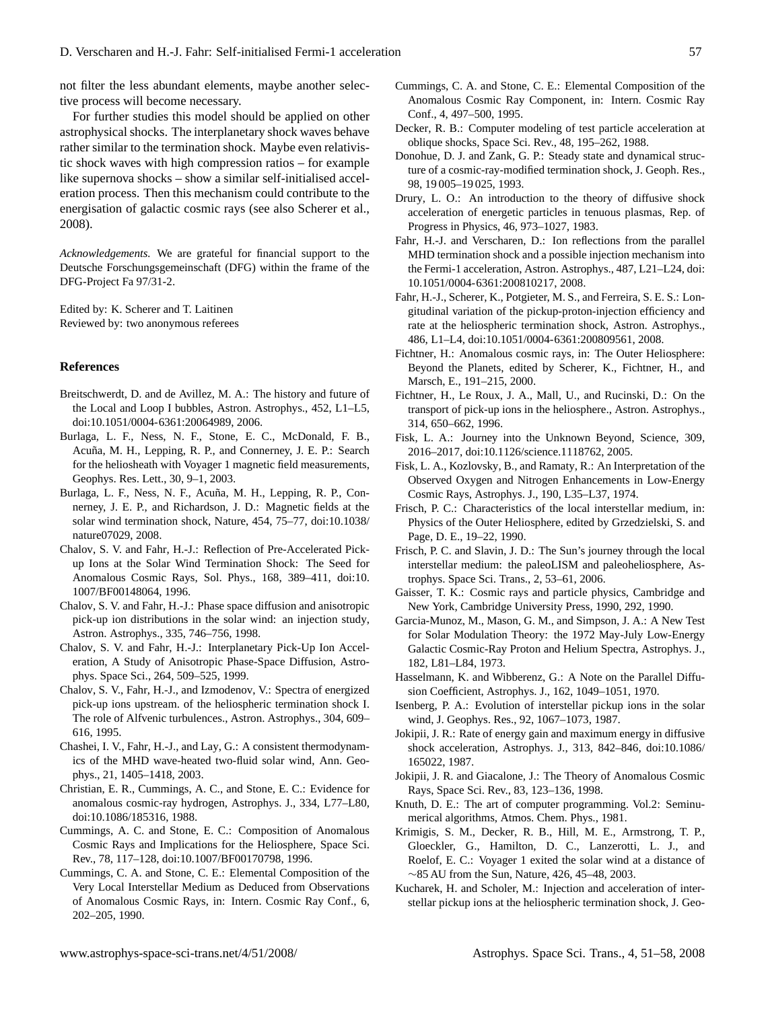not filter the less abundant elements, maybe another selective process will become necessary.

For further studies this model should be applied on other astrophysical shocks. The interplanetary shock waves behave rather similar to the termination shock. Maybe even relativistic shock waves with high compression ratios – for example like supernova shocks – show a similar self-initialised acceleration process. Then this mechanism could contribute to the energisation of galactic cosmic rays (see also [Scherer et al.,](#page-7-13) [2008\)](#page-7-13).

*Acknowledgements.* We are grateful for financial support to the Deutsche Forschungsgemeinschaft (DFG) within the frame of the DFG-Project Fa 97/31-2.

Edited by: K. Scherer and T. Laitinen Reviewed by: two anonymous referees

#### **References**

- <span id="page-6-23"></span>Breitschwerdt, D. and de Avillez, M. A.: The history and future of the Local and Loop I bubbles, Astron. Astrophys., 452, L1–L5, doi:10.1051/0004-6361:20064989, 2006.
- <span id="page-6-8"></span>Burlaga, L. F., Ness, N. F., Stone, E. C., McDonald, F. B., Acuña, M. H., Lepping, R. P., and Connerney, J. E. P.: Search for the heliosheath with Voyager 1 magnetic field measurements, Geophys. Res. Lett., 30, 9–1, 2003.
- <span id="page-6-5"></span>Burlaga, L. F., Ness, N. F., Acuña, M. H., Lepping, R. P., Connerney, J. E. P., and Richardson, J. D.: Magnetic fields at the solar wind termination shock, Nature, 454, 75–77, doi:10.1038/ nature07029, 2008.
- <span id="page-6-10"></span>Chalov, S. V. and Fahr, H.-J.: Reflection of Pre-Accelerated Pickup Ions at the Solar Wind Termination Shock: The Seed for Anomalous Cosmic Rays, Sol. Phys., 168, 389–411, doi:10. 1007/BF00148064, 1996.
- <span id="page-6-27"></span>Chalov, S. V. and Fahr, H.-J.: Phase space diffusion and anisotropic pick-up ion distributions in the solar wind: an injection study, Astron. Astrophys., 335, 746–756, 1998.
- <span id="page-6-25"></span>Chalov, S. V. and Fahr, H.-J.: Interplanetary Pick-Up Ion Acceleration, A Study of Anisotropic Phase-Space Diffusion, Astrophys. Space Sci., 264, 509–525, 1999.
- <span id="page-6-11"></span>Chalov, S. V., Fahr, H.-J., and Izmodenov, V.: Spectra of energized pick-up ions upstream. of the heliospheric termination shock I. The role of Alfvenic turbulences., Astron. Astrophys., 304, 609– 616, 1995.
- <span id="page-6-12"></span>Chashei, I. V., Fahr, H.-J., and Lay, G.: A consistent thermodynamics of the MHD wave-heated two-fluid solar wind, Ann. Geophys., 21, 1405–1418, 2003.
- <span id="page-6-15"></span>Christian, E. R., Cummings, A. C., and Stone, E. C.: Evidence for anomalous cosmic-ray hydrogen, Astrophys. J., 334, L77–L80, doi:10.1086/185316, 1988.
- <span id="page-6-31"></span>Cummings, A. C. and Stone, E. C.: Composition of Anomalous Cosmic Rays and Implications for the Heliosphere, Space Sci. Rev., 78, 117–128, doi:10.1007/BF00170798, 1996.
- <span id="page-6-19"></span>Cummings, C. A. and Stone, C. E.: Elemental Composition of the Very Local Interstellar Medium as Deduced from Observations of Anomalous Cosmic Rays, in: Intern. Cosmic Ray Conf., 6, 202–205, 1990.
- <span id="page-6-20"></span>Cummings, C. A. and Stone, C. E.: Elemental Composition of the Anomalous Cosmic Ray Component, in: Intern. Cosmic Ray Conf., 4, 497–500, 1995.
- <span id="page-6-13"></span>Decker, R. B.: Computer modeling of test particle acceleration at oblique shocks, Space Sci. Rev., 48, 195–262, 1988.
- <span id="page-6-0"></span>Donohue, D. J. and Zank, G. P.: Steady state and dynamical structure of a cosmic-ray-modified termination shock, J. Geoph. Res., 98, 19 005–19 025, 1993.
- <span id="page-6-1"></span>Drury, L. O.: An introduction to the theory of diffusive shock acceleration of energetic particles in tenuous plasmas, Rep. of Progress in Physics, 46, 973–1027, 1983.
- <span id="page-6-4"></span>Fahr, H.-J. and Verscharen, D.: Ion reflections from the parallel MHD termination shock and a possible injection mechanism into the Fermi-1 acceleration, Astron. Astrophys., 487, L21–L24, doi: 10.1051/0004-6361:200810217, 2008.
- <span id="page-6-6"></span>Fahr, H.-J., Scherer, K., Potgieter, M. S., and Ferreira, S. E. S.: Longitudinal variation of the pickup-proton-injection efficiency and rate at the heliospheric termination shock, Astron. Astrophys., 486, L1–L4, doi:10.1051/0004-6361:200809561, 2008.
- <span id="page-6-3"></span>Fichtner, H.: Anomalous cosmic rays, in: The Outer Heliosphere: Beyond the Planets, edited by Scherer, K., Fichtner, H., and Marsch, E., 191–215, 2000.
- <span id="page-6-29"></span>Fichtner, H., Le Roux, J. A., Mall, U., and Rucinski, D.: On the transport of pick-up ions in the heliosphere., Astron. Astrophys., 314, 650–662, 1996.
- <span id="page-6-9"></span>Fisk, L. A.: Journey into the Unknown Beyond, Science, 309, 2016–2017, doi:10.1126/science.1118762, 2005.
- <span id="page-6-16"></span>Fisk, L. A., Kozlovsky, B., and Ramaty, R.: An Interpretation of the Observed Oxygen and Nitrogen Enhancements in Low-Energy Cosmic Rays, Astrophys. J., 190, L35–L37, 1974.
- <span id="page-6-21"></span>Frisch, P. C.: Characteristics of the local interstellar medium, in: Physics of the Outer Heliosphere, edited by Grzedzielski, S. and Page, D. E., 19–22, 1990.
- <span id="page-6-22"></span>Frisch, P. C. and Slavin, J. D.: The Sun's journey through the local interstellar medium: the paleoLISM and paleoheliosphere, Astrophys. Space Sci. Trans., 2, 53–61, 2006.
- <span id="page-6-2"></span>Gaisser, T. K.: Cosmic rays and particle physics, Cambridge and New York, Cambridge University Press, 1990, 292, 1990.
- <span id="page-6-14"></span>Garcia-Munoz, M., Mason, G. M., and Simpson, J. A.: A New Test for Solar Modulation Theory: the 1972 May-July Low-Energy Galactic Cosmic-Ray Proton and Helium Spectra, Astrophys. J., 182, L81–L84, 1973.
- <span id="page-6-26"></span>Hasselmann, K. and Wibberenz, G.: A Note on the Parallel Diffusion Coefficient, Astrophys. J., 162, 1049–1051, 1970.
- <span id="page-6-24"></span>Isenberg, P. A.: Evolution of interstellar pickup ions in the solar wind, J. Geophys. Res., 92, 1067–1073, 1987.
- <span id="page-6-18"></span>Jokipii, J. R.: Rate of energy gain and maximum energy in diffusive shock acceleration, Astrophys. J., 313, 842–846, doi:10.1086/ 165022, 1987.
- <span id="page-6-17"></span>Jokipii, J. R. and Giacalone, J.: The Theory of Anomalous Cosmic Rays, Space Sci. Rev., 83, 123–136, 1998.
- <span id="page-6-28"></span>Knuth, D. E.: The art of computer programming. Vol.2: Seminumerical algorithms, Atmos. Chem. Phys., 1981.
- <span id="page-6-7"></span>Krimigis, S. M., Decker, R. B., Hill, M. E., Armstrong, T. P., Gloeckler, G., Hamilton, D. C., Lanzerotti, L. J., and Roelof, E. C.: Voyager 1 exited the solar wind at a distance of ∼85 AU from the Sun, Nature, 426, 45–48, 2003.
- <span id="page-6-30"></span>Kucharek, H. and Scholer, M.: Injection and acceleration of interstellar pickup ions at the heliospheric termination shock, J. Geo-